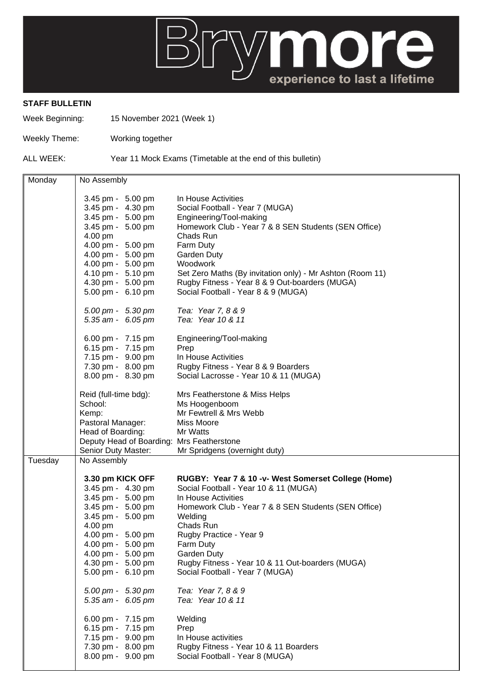

## **STAFF BULLETIN**

Week Beginning: 15 November 2021 (Week 1)

Weekly Theme: Working together

ALL WEEK: Year 11 Mock Exams (Timetable at the end of this bulletin)

| RUGBY: Year 7 & 10 -v- West Somerset College (Home) |
|-----------------------------------------------------|
|                                                     |
|                                                     |
|                                                     |
|                                                     |
|                                                     |
|                                                     |
|                                                     |
|                                                     |
|                                                     |
|                                                     |
|                                                     |
|                                                     |
|                                                     |
|                                                     |
|                                                     |
|                                                     |
|                                                     |
|                                                     |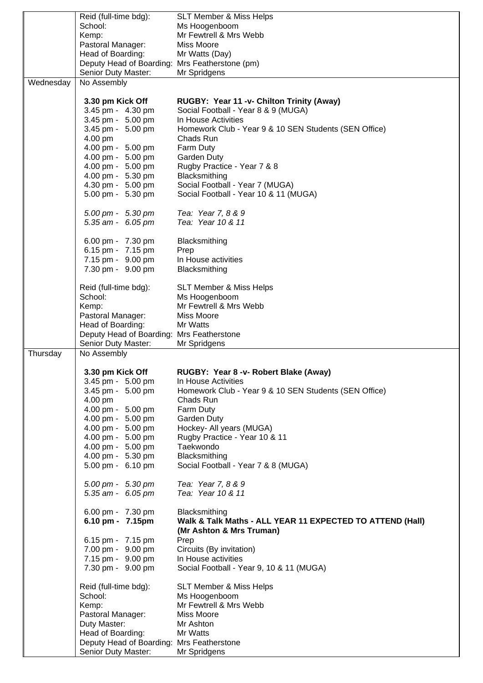|           | Reid (full-time bdg):                                          | <b>SLT Member &amp; Miss Helps</b>                        |
|-----------|----------------------------------------------------------------|-----------------------------------------------------------|
|           | School:                                                        | Ms Hoogenboom                                             |
|           | Kemp:                                                          | Mr Fewtrell & Mrs Webb                                    |
|           | Pastoral Manager:                                              | Miss Moore                                                |
|           | Head of Boarding:                                              | Mr Watts (Day)                                            |
|           | Deputy Head of Boarding: Mrs Featherstone (pm)                 |                                                           |
|           | Senior Duty Master:                                            | Mr Spridgens                                              |
| Wednesday | No Assembly                                                    |                                                           |
|           | 3.30 pm Kick Off                                               | RUGBY: Year 11 -v- Chilton Trinity (Away)                 |
|           | 3.45 pm - 4.30 pm                                              | Social Football - Year 8 & 9 (MUGA)                       |
|           | 3.45 pm - 5.00 pm                                              | In House Activities                                       |
|           | 3.45 pm - 5.00 pm                                              | Homework Club - Year 9 & 10 SEN Students (SEN Office)     |
|           | 4.00 pm                                                        | Chads Run                                                 |
|           | 4.00 pm - 5.00 pm                                              | Farm Duty                                                 |
|           | 4.00 pm - 5.00 pm                                              | <b>Garden Duty</b>                                        |
|           | 4.00 pm - 5.00 pm                                              | Rugby Practice - Year 7 & 8                               |
|           | 4.00 pm - 5.30 pm<br>4.30 pm - 5.00 pm                         | Blacksmithing<br>Social Football - Year 7 (MUGA)          |
|           | 5.00 pm - 5.30 pm                                              | Social Football - Year 10 & 11 (MUGA)                     |
|           |                                                                |                                                           |
|           | 5.00 pm - 5.30 pm                                              | Tea: Year 7, 8 & 9                                        |
|           | 5.35 am - 6.05 pm                                              | Tea: Year 10 & 11                                         |
|           |                                                                |                                                           |
|           | 6.00 pm - 7.30 pm                                              | Blacksmithing                                             |
|           | 6.15 pm - 7.15 pm                                              | Prep                                                      |
|           | 7.15 pm - 9.00 pm                                              | In House activities                                       |
|           | 7.30 pm - 9.00 pm                                              | Blacksmithing                                             |
|           | Reid (full-time bdg):                                          | <b>SLT Member &amp; Miss Helps</b>                        |
|           | School:                                                        | Ms Hoogenboom                                             |
|           | Kemp:                                                          | Mr Fewtrell & Mrs Webb                                    |
|           | Pastoral Manager:                                              | <b>Miss Moore</b>                                         |
|           | Head of Boarding:                                              | Mr Watts                                                  |
|           | Deputy Head of Boarding: Mrs Featherstone                      |                                                           |
|           | Senior Duty Master:                                            | Mr Spridgens                                              |
| Thursday  | No Assembly                                                    |                                                           |
|           | 3.30 pm Kick Off                                               | RUGBY: Year 8 -v- Robert Blake (Away)                     |
|           | 3.45 pm - 5.00 pm                                              | In House Activities                                       |
|           | 3.45 pm - 5.00 pm                                              | Homework Club - Year 9 & 10 SEN Students (SEN Office)     |
|           | 4.00 pm                                                        | Chads Run                                                 |
|           | 4.00 pm - 5.00 pm                                              | Farm Duty                                                 |
|           | 4.00 pm - 5.00 pm                                              | Garden Duty                                               |
|           | 4.00 pm - 5.00 pm                                              | Hockey- All years (MUGA)                                  |
|           | 4.00 pm - 5.00 pm                                              | Rugby Practice - Year 10 & 11                             |
|           | 4.00 pm - 5.00 pm<br>4.00 pm - 5.30 pm                         | Taekwondo                                                 |
|           | 5.00 pm - 6.10 pm                                              | Blacksmithing<br>Social Football - Year 7 & 8 (MUGA)      |
|           |                                                                |                                                           |
|           | 5.00 pm - 5.30 pm                                              | Tea: Year 7, 8 & 9                                        |
|           | 5.35 am - 6.05 pm                                              | Tea: Year 10 & 11                                         |
|           |                                                                |                                                           |
|           | 6.00 pm - 7.30 pm                                              | Blacksmithing                                             |
|           | 6.10 pm - 7.15pm                                               | Walk & Talk Maths - ALL YEAR 11 EXPECTED TO ATTEND (Hall) |
|           | 6.15 pm - 7.15 pm                                              | (Mr Ashton & Mrs Truman)<br>Prep                          |
|           | 7.00 pm - 9.00 pm                                              | Circuits (By invitation)                                  |
|           | 7.15 pm - 9.00 pm                                              | In House activities                                       |
|           | 7.30 pm - 9.00 pm                                              | Social Football - Year 9, 10 & 11 (MUGA)                  |
|           |                                                                |                                                           |
|           | Reid (full-time bdg):                                          | <b>SLT Member &amp; Miss Helps</b>                        |
|           | School:                                                        | Ms Hoogenboom                                             |
|           | Kemp:                                                          | Mr Fewtrell & Mrs Webb                                    |
|           | Pastoral Manager:                                              | Miss Moore                                                |
|           | Duty Master:                                                   | Mr Ashton<br>Mr Watts                                     |
|           | Head of Boarding:<br>Deputy Head of Boarding: Mrs Featherstone |                                                           |
|           | Senior Duty Master:                                            | Mr Spridgens                                              |
|           |                                                                |                                                           |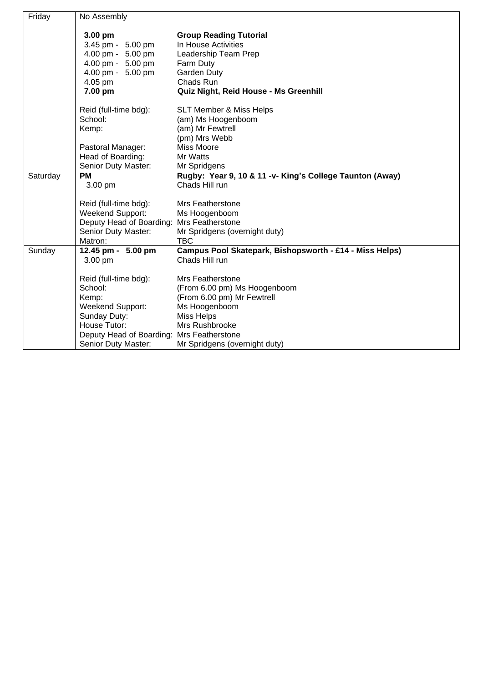| Friday   | No Assembly                                                                                                                                                                                        |                                                                                                                                                                                                                                                             |  |  |  |
|----------|----------------------------------------------------------------------------------------------------------------------------------------------------------------------------------------------------|-------------------------------------------------------------------------------------------------------------------------------------------------------------------------------------------------------------------------------------------------------------|--|--|--|
|          | 3.00 pm<br>3.45 pm - 5.00 pm<br>4.00 pm - 5.00 pm<br>4.00 pm - 5.00 pm<br>4.00 pm - 5.00 pm<br>4.05 pm<br>7.00 pm                                                                                  | <b>Group Reading Tutorial</b><br>In House Activities<br>Leadership Team Prep<br>Farm Duty<br><b>Garden Duty</b><br>Chads Run<br>Quiz Night, Reid House - Ms Greenhill                                                                                       |  |  |  |
|          | Reid (full-time bdg):<br>School:<br>Kemp:<br>Pastoral Manager:<br>Head of Boarding:<br>Senior Duty Master:                                                                                         | <b>SLT Member &amp; Miss Helps</b><br>(am) Ms Hoogenboom<br>(am) Mr Fewtrell<br>(pm) Mrs Webb<br><b>Miss Moore</b><br>Mr Watts<br>Mr Spridgens                                                                                                              |  |  |  |
| Saturday | <b>PM</b><br>3.00 pm<br>Reid (full-time bdg):<br><b>Weekend Support:</b><br>Deputy Head of Boarding: Mrs Featherstone<br>Senior Duty Master:<br>Matron:                                            | Rugby: Year 9, 10 & 11 -v- King's College Taunton (Away)<br>Chads Hill run<br><b>Mrs Featherstone</b><br>Ms Hoogenboom<br>Mr Spridgens (overnight duty)<br><b>TBC</b>                                                                                       |  |  |  |
| Sunday   | 12.45 pm - 5.00 pm<br>3.00 pm<br>Reid (full-time bdg):<br>School:<br>Kemp:<br>Weekend Support:<br>Sunday Duty:<br>House Tutor:<br>Deputy Head of Boarding: Mrs Featherstone<br>Senior Duty Master: | Campus Pool Skatepark, Bishopsworth - £14 - Miss Helps)<br>Chads Hill run<br><b>Mrs Featherstone</b><br>(From 6.00 pm) Ms Hoogenboom<br>(From 6.00 pm) Mr Fewtrell<br>Ms Hoogenboom<br><b>Miss Helps</b><br>Mrs Rushbrooke<br>Mr Spridgens (overnight duty) |  |  |  |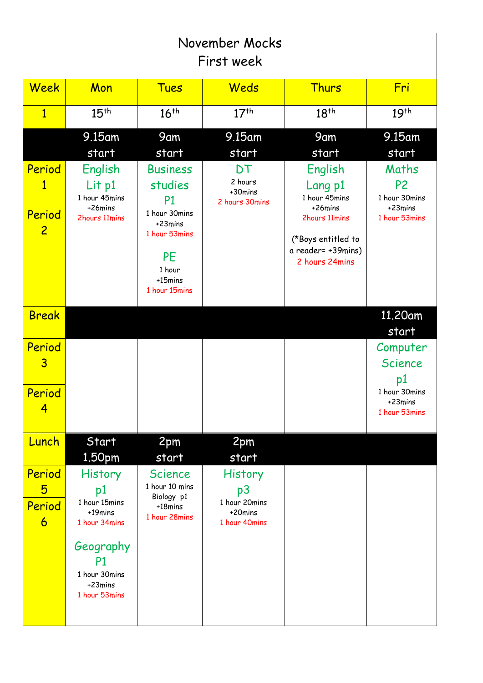| November Mocks<br>First week                       |                                                                                                                                   |                                                                                                                                         |                                                                   |                                                                                                                               |                                                                               |
|----------------------------------------------------|-----------------------------------------------------------------------------------------------------------------------------------|-----------------------------------------------------------------------------------------------------------------------------------------|-------------------------------------------------------------------|-------------------------------------------------------------------------------------------------------------------------------|-------------------------------------------------------------------------------|
| Week                                               | Mon                                                                                                                               | <b>Tues</b>                                                                                                                             | Weds                                                              | <b>Thurs</b>                                                                                                                  | Fri                                                                           |
| $\mathbf{1}$                                       | 15 <sup>th</sup>                                                                                                                  | 16 <sup>th</sup>                                                                                                                        | 17 <sup>th</sup>                                                  | 18 <sup>th</sup>                                                                                                              | 19 <sup>th</sup>                                                              |
|                                                    | 9.15am<br>start                                                                                                                   | 9am<br>start                                                                                                                            | 9.15am<br>start                                                   | 9am<br>start                                                                                                                  | 9.15am<br>start                                                               |
| Period<br>$\mathbf{1}$<br>Period<br>$\overline{c}$ | English<br>Lit p1<br>1 hour 45mins<br>+26mins<br>2hours 11mins                                                                    | <b>Business</b><br>studies<br><b>P1</b><br>1 hour 30mins<br>+23mins<br>1 hour 53mins<br><b>PE</b><br>1 hour<br>+15mins<br>1 hour 15mins | DT<br>2 hours<br>+30mins<br>2 hours 30mins                        | English<br>Lang p1<br>1 hour 45mins<br>+26mins<br>2hours 11mins<br>(*Boys entitled to<br>a reader= +39mins)<br>2 hours 24mins | Maths<br>P <sub>2</sub><br>1 hour 30mins<br>+23mins<br>1 hour 53mins          |
| <b>Break</b>                                       |                                                                                                                                   |                                                                                                                                         |                                                                   |                                                                                                                               | 11.20am<br>start                                                              |
| Period<br>3<br>Period<br>$\overline{4}$            |                                                                                                                                   |                                                                                                                                         |                                                                   |                                                                                                                               | Computer<br><b>Science</b><br>p1<br>1 hour 30mins<br>+23mins<br>1 hour 53mins |
| Lunch                                              | Start<br>1.50pm                                                                                                                   | 2pm<br>start                                                                                                                            | 2pm<br>start                                                      |                                                                                                                               |                                                                               |
| Period<br>5<br>Period<br>6                         | History<br>p1<br>1 hour 15mins<br>+19mins<br>1 hour 34mins<br>Geography<br><b>P1</b><br>1 hour 30mins<br>+23mins<br>1 hour 53mins | <b>Science</b><br>1 hour 10 mins<br>Biology p1<br>$+18$ mins<br>1 hour 28mins                                                           | <b>History</b><br>p3<br>1 hour 20mins<br>+20mins<br>1 hour 40mins |                                                                                                                               |                                                                               |